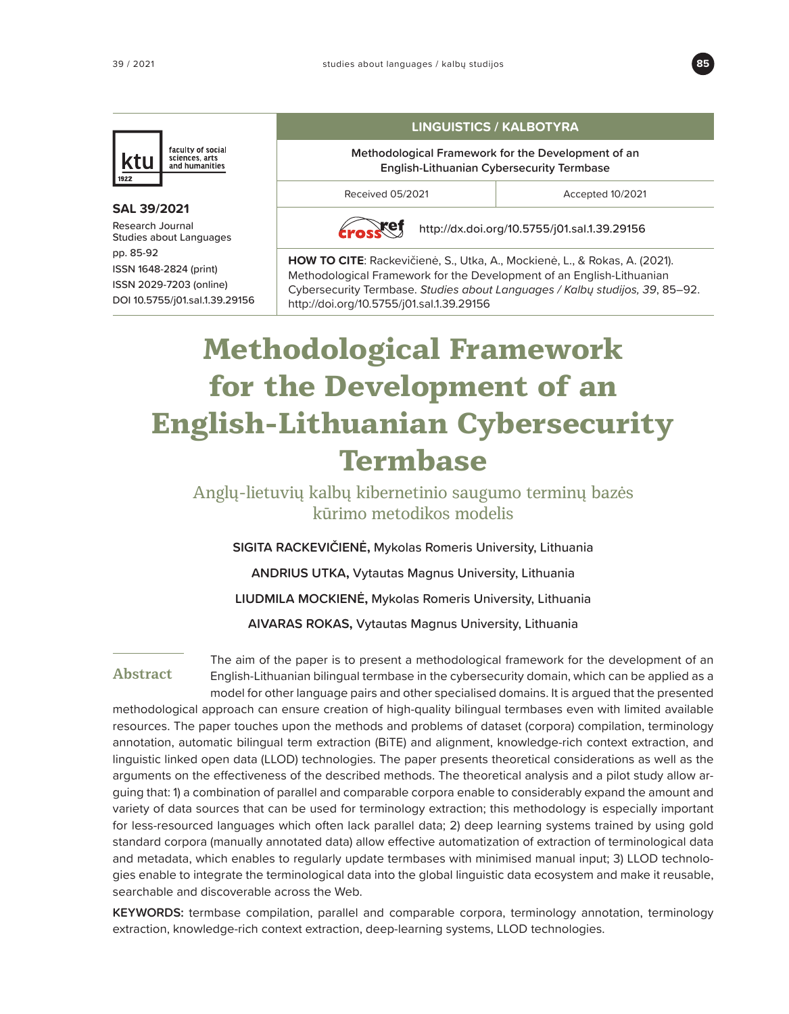



## **SAL 39/2021** Research Journal Studies about Languages pp. 85-92 ISSN 1648-2824 (print) ISSN 2029-7203 (online) DOI 10.5755/j01.sal.1.39.29156

## **LINGUISTICS / KALBOTYRA**

**Methodological Framework for the Development of an English-Lithuanian Cybersecurity Termbase**

Received 05/2021 and accepted 10/2021

xef

<http://dx.doi.org/10.5755/j01.sal.1.39.29156>

**HOW TO CITE**: Rackevičienė, S., Utka, A., Mockienė, L., & Rokas, A. (2021). Methodological Framework for the Development of an English-Lithuanian Cybersecurity Termbase. Studies about Languages / Kalbų studijos, 39, 85–92. [http://doi.org/](http://doi.org)10.5755/j01.sal.1.39.29156

# **Methodological Framework for the Development of an English-Lithuanian Cybersecurity Termbase**

Anglų-lietuvių kalbų kibernetinio saugumo terminų bazės kūrimo metodikos modelis

**SIGITA RACKEVIČIENĖ,** Mykolas Romeris University, Lithuania

**ANDRIUS UTKA,** Vytautas Magnus University, Lithuania

**LIUDMILA MOCKIENĖ,** Mykolas Romeris University, Lithuania

**AIVARAS ROKAS,** Vytautas Magnus University, Lithuania

## **Abstract**

The aim of the paper is to present a methodological framework for the development of an English-Lithuanian bilingual termbase in the cybersecurity domain, which can be applied as a model for other language pairs and other specialised domains. It is argued that the presented

methodological approach can ensure creation of high-quality bilingual termbases even with limited available resources. The paper touches upon the methods and problems of dataset (corpora) compilation, terminology annotation, automatic bilingual term extraction (BiTE) and alignment, knowledge-rich context extraction, and linguistic linked open data (LLOD) technologies. The paper presents theoretical considerations as well as the arguments on the effectiveness of the described methods. The theoretical analysis and a pilot study allow arguing that: 1) a combination of parallel and comparable corpora enable to considerably expand the amount and variety of data sources that can be used for terminology extraction; this methodology is especially important for less-resourced languages which often lack parallel data; 2) deep learning systems trained by using gold standard corpora (manually annotated data) allow effective automatization of extraction of terminological data and metadata, which enables to regularly update termbases with minimised manual input; 3) LLOD technologies enable to integrate the terminological data into the global linguistic data ecosystem and make it reusable, searchable and discoverable across the Web.

**KEYWORDS:** termbase compilation, parallel and comparable corpora, terminology annotation, terminology extraction, knowledge-rich context extraction, deep-learning systems, LLOD technologies.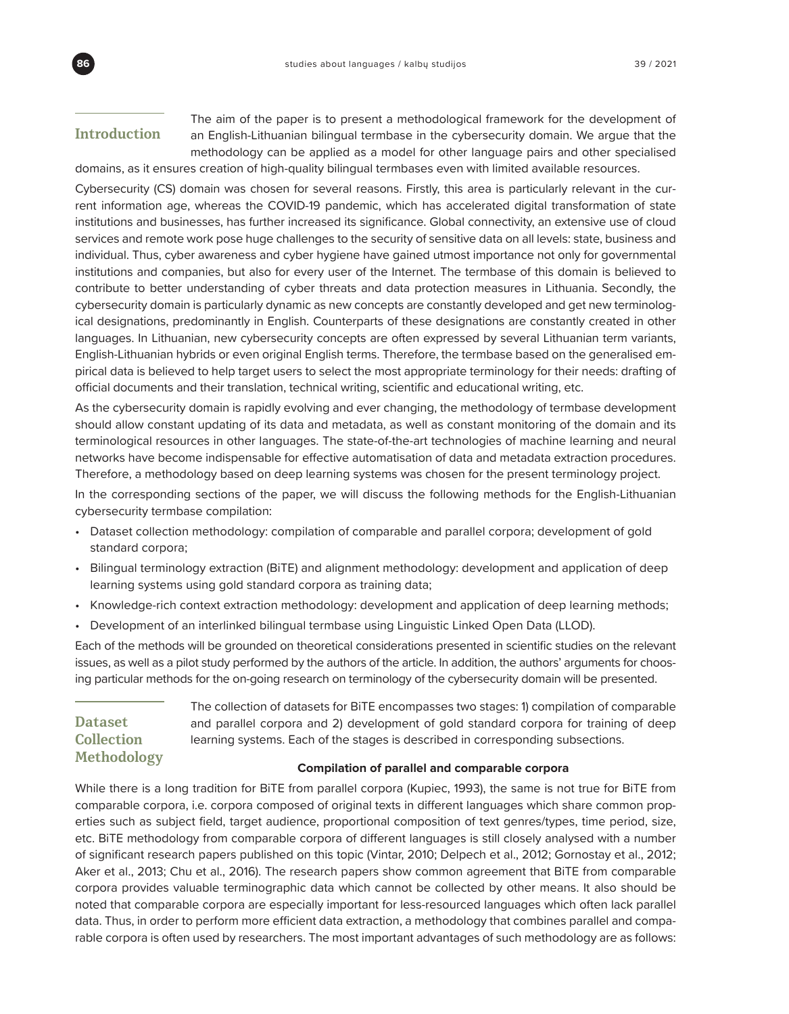## **Introduction**

The aim of the paper is to present a methodological framework for the development of an English-Lithuanian bilingual termbase in the cybersecurity domain. We argue that the methodology can be applied as a model for other language pairs and other specialised domains, as it ensures creation of high-quality bilingual termbases even with limited available resources.

Cybersecurity (CS) domain was chosen for several reasons. Firstly, this area is particularly relevant in the current information age, whereas the COVID-19 pandemic, which has accelerated digital transformation of state institutions and businesses, has further increased its significance. Global connectivity, an extensive use of cloud services and remote work pose huge challenges to the security of sensitive data on all levels: state, business and individual. Thus, cyber awareness and cyber hygiene have gained utmost importance not only for governmental institutions and companies, but also for every user of the Internet. The termbase of this domain is believed to contribute to better understanding of cyber threats and data protection measures in Lithuania. Secondly, the cybersecurity domain is particularly dynamic as new concepts are constantly developed and get new terminological designations, predominantly in English. Counterparts of these designations are constantly created in other languages. In Lithuanian, new cybersecurity concepts are often expressed by several Lithuanian term variants, English-Lithuanian hybrids or even original English terms. Therefore, the termbase based on the generalised empirical data is believed to help target users to select the most appropriate terminology for their needs: drafting of official documents and their translation, technical writing, scientific and educational writing, etc.

As the cybersecurity domain is rapidly evolving and ever changing, the methodology of termbase development should allow constant updating of its data and metadata, as well as constant monitoring of the domain and its terminological resources in other languages. The state-of-the-art technologies of machine learning and neural networks have become indispensable for effective automatisation of data and metadata extraction procedures. Therefore, a methodology based on deep learning systems was chosen for the present terminology project.

In the corresponding sections of the paper, we will discuss the following methods for the English-Lithuanian cybersecurity termbase compilation:

- Dataset collection methodology: compilation of comparable and parallel corpora; development of gold standard corpora;
- Bilingual terminology extraction (BiTE) and alignment methodology: development and application of deep learning systems using gold standard corpora as training data;
- Knowledge-rich context extraction methodology: development and application of deep learning methods;
- Development of an interlinked bilingual termbase using Linguistic Linked Open Data (LLOD).

Each of the methods will be grounded on theoretical considerations presented in scientific studies on the relevant issues, as well as a pilot study performed by the authors of the article. In addition, the authors' arguments for choosing particular methods for the on-going research on terminology of the cybersecurity domain will be presented.

## **Dataset Collection Methodology**

The collection of datasets for BiTE encompasses two stages: 1) compilation of comparable and parallel corpora and 2) development of gold standard corpora for training of deep learning systems. Each of the stages is described in corresponding subsections.

## **Compilation of parallel and comparable corpora**

While there is a long tradition for BiTE from parallel corpora (Kupiec, 1993), the same is not true for BiTE from comparable corpora, i.e. corpora composed of original texts in different languages which share common properties such as subject field, target audience, proportional composition of text genres/types, time period, size, etc. BiTE methodology from comparable corpora of different languages is still closely analysed with a number of significant research papers published on this topic (Vintar, 2010; Delpech et al., 2012; Gornostay et al., 2012; Aker et al., 2013; Chu et al., 2016). The research papers show common agreement that BiTE from comparable corpora provides valuable terminographic data which cannot be collected by other means. It also should be noted that comparable corpora are especially important for less-resourced languages which often lack parallel data. Thus, in order to perform more efficient data extraction, a methodology that combines parallel and comparable corpora is often used by researchers. The most important advantages of such methodology are as follows: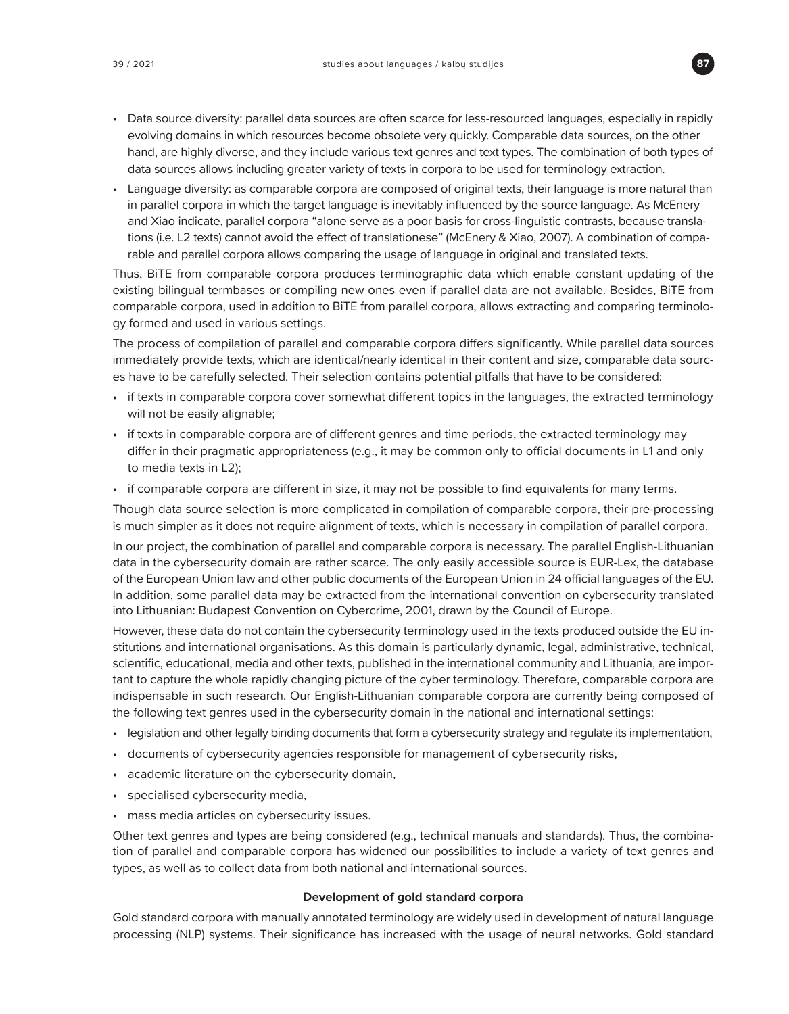

- Data source diversity: parallel data sources are often scarce for less-resourced languages, especially in rapidly evolving domains in which resources become obsolete very quickly. Comparable data sources, on the other hand, are highly diverse, and they include various text genres and text types. The combination of both types of data sources allows including greater variety of texts in corpora to be used for terminology extraction.
- Language diversity: as comparable corpora are composed of original texts, their language is more natural than in parallel corpora in which the target language is inevitably influenced by the source language. As McEnery and Xiao indicate, parallel corpora "alone serve as a poor basis for cross-linguistic contrasts, because translations (i.e. L2 texts) cannot avoid the effect of translationese" (McEnery & Xiao, 2007). A combination of comparable and parallel corpora allows comparing the usage of language in original and translated texts.

Thus, BiTE from comparable corpora produces terminographic data which enable constant updating of the existing bilingual termbases or compiling new ones even if parallel data are not available. Besides, BiTE from comparable corpora, used in addition to BiTE from parallel corpora, allows extracting and comparing terminology formed and used in various settings.

The process of compilation of parallel and comparable corpora differs significantly. While parallel data sources immediately provide texts, which are identical/nearly identical in their content and size, comparable data sources have to be carefully selected. Their selection contains potential pitfalls that have to be considered:

- if texts in comparable corpora cover somewhat different topics in the languages, the extracted terminology will not be easily alignable;
- if texts in comparable corpora are of different genres and time periods, the extracted terminology may differ in their pragmatic appropriateness (e.g., it may be common only to official documents in L1 and only to media texts in L2);
- if comparable corpora are different in size, it may not be possible to find equivalents for many terms.

Though data source selection is more complicated in compilation of comparable corpora, their pre-processing is much simpler as it does not require alignment of texts, which is necessary in compilation of parallel corpora.

In our project, the combination of parallel and comparable corpora is necessary. The parallel English-Lithuanian data in the cybersecurity domain are rather scarce. The only easily accessible source is EUR-Lex, the database of the European Union law and other public documents of the European Union in 24 official languages of the EU. In addition, some parallel data may be extracted from the international convention on cybersecurity translated into Lithuanian: Budapest Convention on Cybercrime, 2001, drawn by the Council of Europe.

However, these data do not contain the cybersecurity terminology used in the texts produced outside the EU institutions and international organisations. As this domain is particularly dynamic, legal, administrative, technical, scientific, educational, media and other texts, published in the international community and Lithuania, are important to capture the whole rapidly changing picture of the cyber terminology. Therefore, comparable corpora are indispensable in such research. Our English-Lithuanian comparable corpora are currently being composed of the following text genres used in the cybersecurity domain in the national and international settings:

- legislation and other legally binding documents that form a cybersecurity strategy and regulate its implementation,
- documents of cybersecurity agencies responsible for management of cybersecurity risks,
- academic literature on the cybersecurity domain,
- specialised cybersecurity media,
- mass media articles on cybersecurity issues.

Other text genres and types are being considered (e.g., technical manuals and standards). Thus, the combination of parallel and comparable corpora has widened our possibilities to include a variety of text genres and types, as well as to collect data from both national and international sources.

#### **Development of gold standard corpora**

Gold standard corpora with manually annotated terminology are widely used in development of natural language processing (NLP) systems. Their significance has increased with the usage of neural networks. Gold standard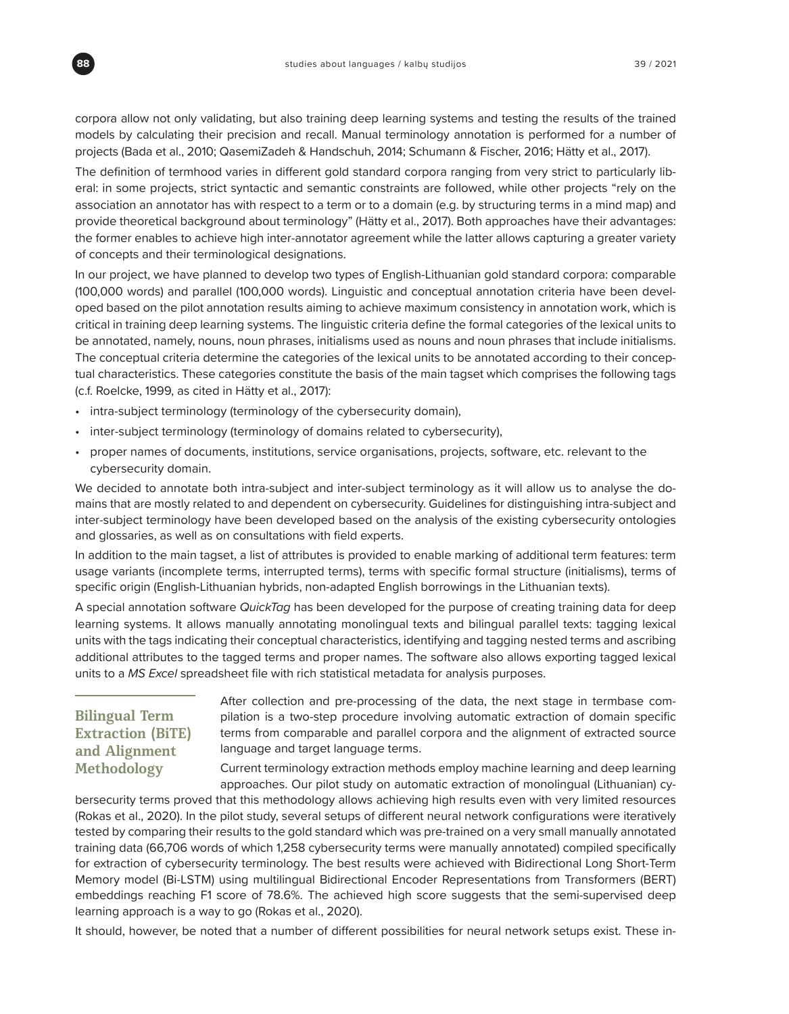corpora allow not only validating, but also training deep learning systems and testing the results of the trained models by calculating their precision and recall. Manual terminology annotation is performed for a number of projects (Bada et al., 2010; QasemiZadeh & Handschuh, 2014; Schumann & Fischer, 2016; Hätty et al., 2017).

The definition of termhood varies in different gold standard corpora ranging from very strict to particularly liberal: in some projects, strict syntactic and semantic constraints are followed, while other projects "rely on the association an annotator has with respect to a term or to a domain (e.g. by structuring terms in a mind map) and provide theoretical background about terminology" (Hätty et al., 2017). Both approaches have their advantages: the former enables to achieve high inter-annotator agreement while the latter allows capturing a greater variety of concepts and their terminological designations.

In our project, we have planned to develop two types of English-Lithuanian gold standard corpora: comparable (100,000 words) and parallel (100,000 words). Linguistic and conceptual annotation criteria have been developed based on the pilot annotation results aiming to achieve maximum consistency in annotation work, which is critical in training deep learning systems. The linguistic criteria define the formal categories of the lexical units to be annotated, namely, nouns, noun phrases, initialisms used as nouns and noun phrases that include initialisms. The conceptual criteria determine the categories of the lexical units to be annotated according to their conceptual characteristics. These categories constitute the basis of the main tagset which comprises the following tags (c.f. Roelcke, 1999, as cited in Hätty et al., 2017):

- intra-subject terminology (terminology of the cybersecurity domain),
- inter-subject terminology (terminology of domains related to cybersecurity),
- proper names of documents, institutions, service organisations, projects, software, etc. relevant to the cybersecurity domain.

We decided to annotate both intra-subject and inter-subject terminology as it will allow us to analyse the domains that are mostly related to and dependent on cybersecurity. Guidelines for distinguishing intra-subject and inter-subject terminology have been developed based on the analysis of the existing cybersecurity ontologies and glossaries, as well as on consultations with field experts.

In addition to the main tagset, a list of attributes is provided to enable marking of additional term features: term usage variants (incomplete terms, interrupted terms), terms with specific formal structure (initialisms), terms of specific origin (English-Lithuanian hybrids, non-adapted English borrowings in the Lithuanian texts).

A special annotation software *QuickTag* has been developed for the purpose of creating training data for deep learning systems. It allows manually annotating monolingual texts and bilingual parallel texts: tagging lexical units with the tags indicating their conceptual characteristics, identifying and tagging nested terms and ascribing additional attributes to the tagged terms and proper names. The software also allows exporting tagged lexical units to a *MS Excel* spreadsheet file with rich statistical metadata for analysis purposes.

# **Bilingual Term Extraction (BiTE) and Alignment Methodology**

After collection and pre-processing of the data, the next stage in termbase compilation is a two-step procedure involving automatic extraction of domain specific terms from comparable and parallel corpora and the alignment of extracted source language and target language terms.

Current terminology extraction methods employ machine learning and deep learning approaches. Our pilot study on automatic extraction of monolingual (Lithuanian) cy-

bersecurity terms proved that this methodology allows achieving high results even with very limited resources (Rokas et al., 2020). In the pilot study, several setups of different neural network configurations were iteratively tested by comparing their results to the gold standard which was pre-trained on a very small manually annotated training data (66,706 words of which 1,258 cybersecurity terms were manually annotated) compiled specifically for extraction of cybersecurity terminology. The best results were achieved with Bidirectional Long Short-Term Memory model (Bi-LSTM) using multilingual Bidirectional Encoder Representations from Transformers (BERT) embeddings reaching F1 score of 78.6%. The achieved high score suggests that the semi-supervised deep learning approach is a way to go (Rokas et al., 2020).

It should, however, be noted that a number of different possibilities for neural network setups exist. These in-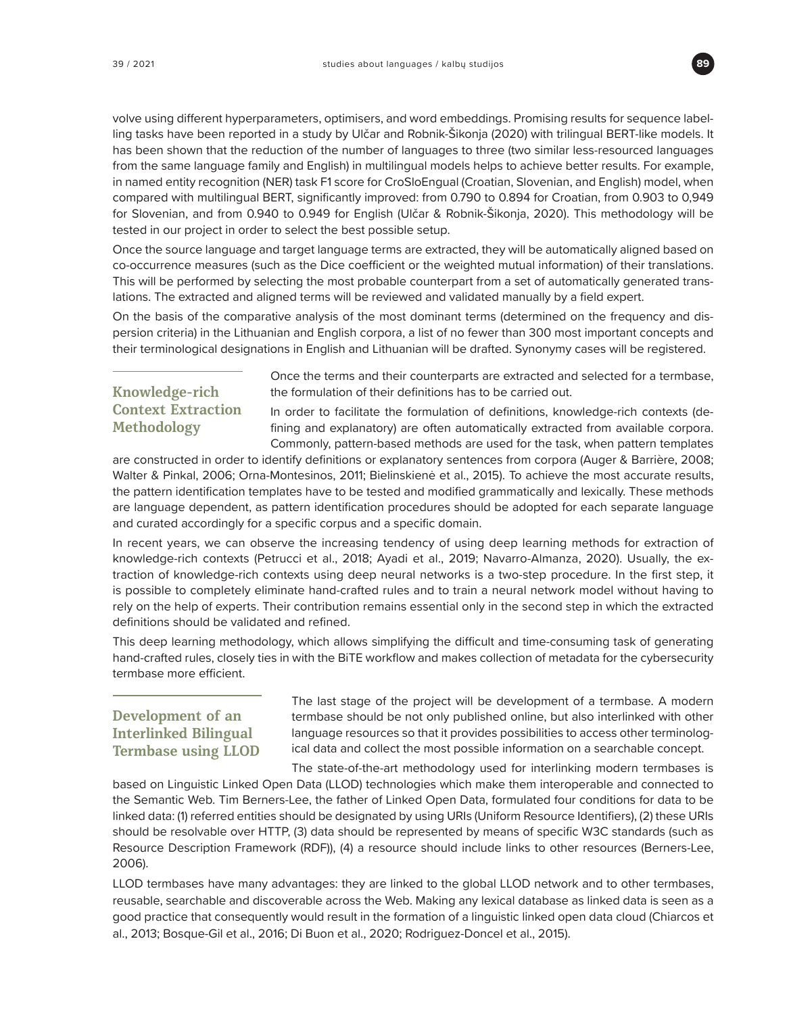

volve using different hyperparameters, optimisers, and word embeddings. Promising results for sequence labelling tasks have been reported in a study by Ulčar and Robnik-Šikonja (2020) with trilingual BERT-like models. It has been shown that the reduction of the number of languages to three (two similar less-resourced languages from the same language family and English) in multilingual models helps to achieve better results. For example, in named entity recognition (NER) task F1 score for CroSloEngual (Croatian, Slovenian, and English) model, when compared with multilingual BERT, significantly improved: from 0.790 to 0.894 for Croatian, from 0.903 to 0,949 for Slovenian, and from 0.940 to 0.949 for English (Ulčar & Robnik-Šikonja, 2020). This methodology will be tested in our project in order to select the best possible setup.

Once the source language and target language terms are extracted, they will be automatically aligned based on co-occurrence measures (such as the Dice coefficient or the weighted mutual information) of their translations. This will be performed by selecting the most probable counterpart from a set of automatically generated translations. The extracted and aligned terms will be reviewed and validated manually by a field expert.

On the basis of the comparative analysis of the most dominant terms (determined on the frequency and dispersion criteria) in the Lithuanian and English corpora, a list of no fewer than 300 most important concepts and their terminological designations in English and Lithuanian will be drafted. Synonymy cases will be registered.

# **Knowledge-rich Context Extraction Methodology**

Once the terms and their counterparts are extracted and selected for a termbase, the formulation of their definitions has to be carried out.

In order to facilitate the formulation of definitions, knowledge-rich contexts (defining and explanatory) are often automatically extracted from available corpora. Commonly, pattern-based methods are used for the task, when pattern templates

are constructed in order to identify definitions or explanatory sentences from corpora (Auger & Barrière, 2008; Walter & Pinkal, 2006; Orna-Montesinos, 2011; Bielinskienė et al., 2015). To achieve the most accurate results, the pattern identification templates have to be tested and modified grammatically and lexically. These methods are language dependent, as pattern identification procedures should be adopted for each separate language and curated accordingly for a specific corpus and a specific domain.

In recent years, we can observe the increasing tendency of using deep learning methods for extraction of knowledge-rich contexts (Petrucci et al., 2018; Ayadi et al., 2019; Navarro-Almanza, 2020). Usually, the extraction of knowledge-rich contexts using deep neural networks is a two-step procedure. In the first step, it is possible to completely eliminate hand-crafted rules and to train a neural network model without having to rely on the help of experts. Their contribution remains essential only in the second step in which the extracted definitions should be validated and refined.

This deep learning methodology, which allows simplifying the difficult and time-consuming task of generating hand-crafted rules, closely ties in with the BiTE workflow and makes collection of metadata for the cybersecurity termbase more efficient.

# **Development of an Interlinked Bilingual Termbase using LLOD**

The last stage of the project will be development of a termbase. A modern termbase should be not only published online, but also interlinked with other language resources so that it provides possibilities to access other terminological data and collect the most possible information on a searchable concept.

The state-of-the-art methodology used for interlinking modern termbases is based on Linguistic Linked Open Data (LLOD) technologies which make them interoperable and connected to the Semantic Web. Tim Berners-Lee, the father of Linked Open Data, formulated four conditions for data to be linked data: (1) referred entities should be designated by using URIs (Uniform Resource Identifiers), (2) these URIs should be resolvable over HTTP, (3) data should be represented by means of specific W3C standards (such as Resource Description Framework (RDF)), (4) a resource should include links to other resources (Berners-Lee, 2006).

LLOD termbases have many advantages: they are linked to the global LLOD network and to other termbases, reusable, searchable and discoverable across the Web. Making any lexical database as linked data is seen as a good practice that consequently would result in the formation of a linguistic linked open data cloud (Chiarcos et al., 2013; Bosque-Gil et al., 2016; Di Buon et al., 2020; Rodriguez-Doncel et al., 2015).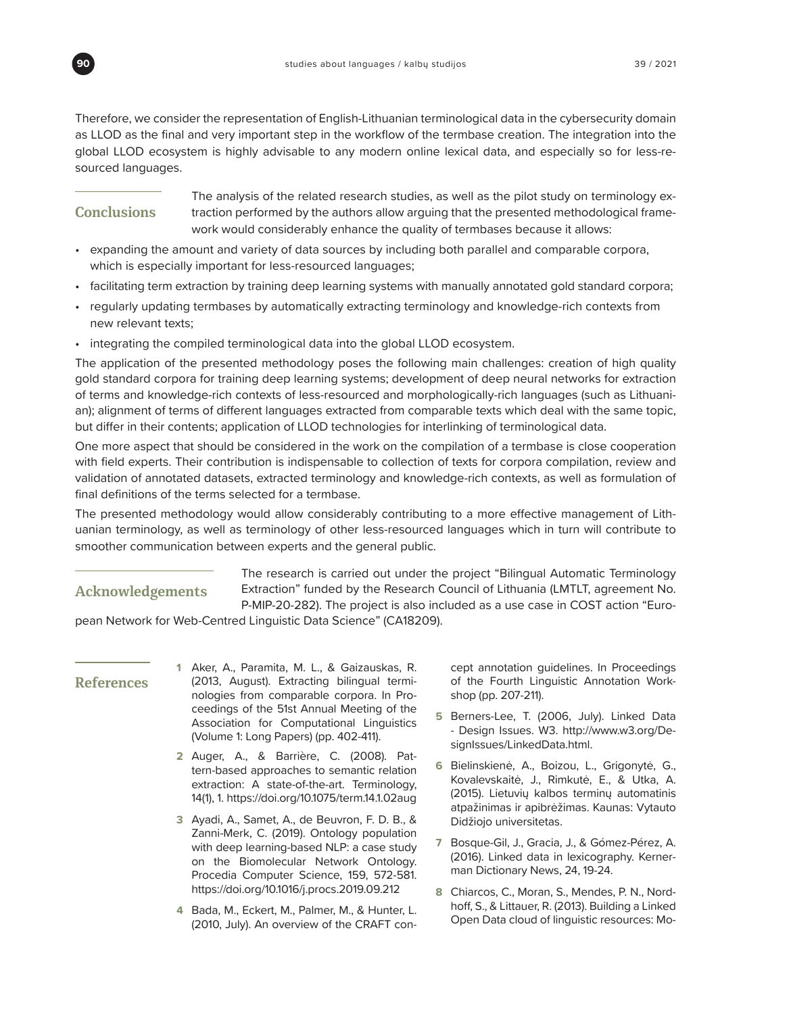

Therefore, we consider the representation of English-Lithuanian terminological data in the cybersecurity domain as LLOD as the final and very important step in the workflow of the termbase creation. The integration into the global LLOD ecosystem is highly advisable to any modern online lexical data, and especially so for less-resourced languages.

# **Conclusions**

The analysis of the related research studies, as well as the pilot study on terminology extraction performed by the authors allow arguing that the presented methodological framework would considerably enhance the quality of termbases because it allows:

- expanding the amount and variety of data sources by including both parallel and comparable corpora, which is especially important for less-resourced languages;
- facilitating term extraction by training deep learning systems with manually annotated gold standard corpora;
- regularly updating termbases by automatically extracting terminology and knowledge-rich contexts from new relevant texts;
- integrating the compiled terminological data into the global LLOD ecosystem.

The application of the presented methodology poses the following main challenges: creation of high quality gold standard corpora for training deep learning systems; development of deep neural networks for extraction of terms and knowledge-rich contexts of less-resourced and morphologically-rich languages (such as Lithuanian); alignment of terms of different languages extracted from comparable texts which deal with the same topic, but differ in their contents; application of LLOD technologies for interlinking of terminological data.

One more aspect that should be considered in the work on the compilation of a termbase is close cooperation with field experts. Their contribution is indispensable to collection of texts for corpora compilation, review and validation of annotated datasets, extracted terminology and knowledge-rich contexts, as well as formulation of final definitions of the terms selected for a termbase.

The presented methodology would allow considerably contributing to a more effective management of Lithuanian terminology, as well as terminology of other less-resourced languages which in turn will contribute to smoother communication between experts and the general public.

## **Acknowledgements**

The research is carried out under the project "Bilingual Automatic Terminology Extraction" funded by the Research Council of Lithuania (LMTLT, agreement No. P-MIP-20-282). The project is also included as a use case in COST action "Euro-

pean Network for Web-Centred Linguistic Data Science" (CA18209).

## **References**

- **1** Aker, A., Paramita, M. L., & Gaizauskas, R. (2013, August). Extracting bilingual terminologies from comparable corpora. In Proceedings of the 51st Annual Meeting of the Association for Computational Linguistics (Volume 1: Long Papers) (pp. 402-411).
- **2** Auger, A., & Barrière, C. (2008). Pattern-based approaches to semantic relation extraction: A state-of-the-art. Terminology, 14(1), 1.<https://doi.org/10.1075/term.14.1.02aug>
- **3** Ayadi, A., Samet, A., de Beuvron, F. D. B., & Zanni-Merk, C. (2019). Ontology population with deep learning-based NLP: a case study on the Biomolecular Network Ontology. Procedia Computer Science, 159, 572-581. <https://doi.org/10.1016/j.procs.2019.09.212>
- **4** Bada, M., Eckert, M., Palmer, M., & Hunter, L. (2010, July). An overview of the CRAFT con-

cept annotation guidelines. In Proceedings of the Fourth Linguistic Annotation Workshop (pp. 207-211).

- **5** Berners-Lee, T. (2006, July). Linked Data - Design Issues. W3. [http://www.w3.org/De](http://www.w3.org/DesignIssues/LinkedData.html.)[signIssues/LinkedData.html.](http://www.w3.org/DesignIssues/LinkedData.html.)
- **6** Bielinskienė, A., Boizou, L., Grigonytė, G., Kovalevskaitė, J., Rimkutė, E., & Utka, A. (2015). Lietuvių kalbos terminų automatinis atpažinimas ir apibrėžimas. Kaunas: Vytauto Didžiojo universitetas.
- **7** Bosque-Gil, J., Gracia, J., & Gómez-Pérez, A. (2016). Linked data in lexicography. Kernerman Dictionary News, 24, 19-24.
- **8** Chiarcos, C., Moran, S., Mendes, P. N., Nordhoff, S., & Littauer, R. (2013). Building a Linked Open Data cloud of linguistic resources: Mo-

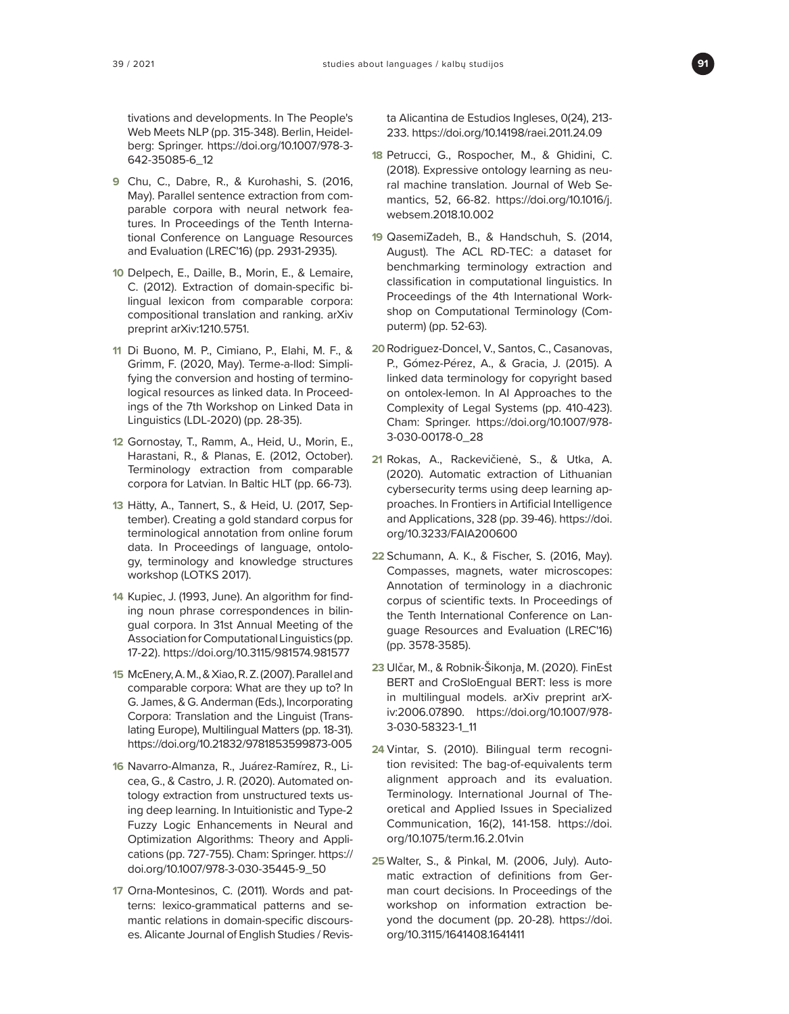

tivations and developments. In The People's Web Meets NLP (pp. 315-348). Berlin, Heidelberg: Springer. [https://doi.org/10.1007/978-3-](https://doi.org/10.1007/978-3-642-35085-6_12) [642-35085-6\\_12](https://doi.org/10.1007/978-3-642-35085-6_12)

- **9** Chu, C., Dabre, R., & Kurohashi, S. (2016, May). Parallel sentence extraction from comparable corpora with neural network features. In Proceedings of the Tenth International Conference on Language Resources and Evaluation (LREC'16) (pp. 2931-2935).
- **10** Delpech, E., Daille, B., Morin, E., & Lemaire, C. (2012). Extraction of domain-specific bilingual lexicon from comparable corpora: compositional translation and ranking. arXiv preprint arXiv:1210.5751.
- **11** Di Buono, M. P., Cimiano, P., Elahi, M. F., & Grimm, F. (2020, May). Terme-a-llod: Simplifying the conversion and hosting of terminological resources as linked data. In Proceedings of the 7th Workshop on Linked Data in Linguistics (LDL-2020) (pp. 28-35).
- **12** Gornostay, T., Ramm, A., Heid, U., Morin, E., Harastani, R., & Planas, E. (2012, October). Terminology extraction from comparable corpora for Latvian. In Baltic HLT (pp. 66-73).
- **13** Hätty, A., Tannert, S., & Heid, U. (2017, September). Creating a gold standard corpus for terminological annotation from online forum data. In Proceedings of language, ontology, terminology and knowledge structures workshop (LOTKS 2017).
- **14** Kupiec, J. (1993, June). An algorithm for finding noun phrase correspondences in bilingual corpora. In 31st Annual Meeting of the Association for Computational Linguistics (pp. 17-22).<https://doi.org/10.3115/981574.981577>
- **15** McEnery, A. M., & Xiao, R. Z. (2007). Parallel and comparable corpora: What are they up to? In G. James, & G. Anderman (Eds.), Incorporating Corpora: Translation and the Linguist (Translating Europe), Multilingual Matters (pp. 18-31). <https://doi.org/10.21832/9781853599873-005>
- **16** Navarro-Almanza, R., Juárez-Ramírez, R., Licea, G., & Castro, J. R. (2020). Automated ontology extraction from unstructured texts using deep learning. In Intuitionistic and Type-2 Fuzzy Logic Enhancements in Neural and Optimization Algorithms: Theory and Applications (pp. 727-755). Cham: Springer. [https://](https://doi.org/10.1007/978-3-030-35445-9_50) [doi.org/10.1007/978-3-030-35445-9\\_50](https://doi.org/10.1007/978-3-030-35445-9_50)
- **17** Orna-Montesinos, C. (2011). Words and patterns: lexico-grammatical patterns and semantic relations in domain-specific discourses. Alicante Journal of English Studies / Revis-

ta Alicantina de Estudios Ingleses, 0(24), 213- 233.<https://doi.org/10.14198/raei.2011.24.09>

- **18** Petrucci, G., Rospocher, M., & Ghidini, C. (2018). Expressive ontology learning as neural machine translation. Journal of Web Semantics, 52, 66-82. [https://doi.org/10.1016/j.](https://doi.org/10.1016/j.websem.2018.10.002) [websem.2018.10.002](https://doi.org/10.1016/j.websem.2018.10.002)
- **19** QasemiZadeh, B., & Handschuh, S. (2014, August). The ACL RD-TEC: a dataset for benchmarking terminology extraction and classification in computational linguistics. In Proceedings of the 4th International Workshop on Computational Terminology (Computerm) (pp. 52-63).
- **20** Rodriguez-Doncel, V., Santos, C., Casanovas, P., Gómez-Pérez, A., & Gracia, J. (2015). A linked data terminology for copyright based on ontolex-lemon. In AI Approaches to the Complexity of Legal Systems (pp. 410-423). Cham: Springer. [https://doi.org/10.1007/978-](https://doi.org/10.1007/978-3-030-00178-0_28) [3-030-00178-0\\_28](https://doi.org/10.1007/978-3-030-00178-0_28)
- **21** Rokas, A., Rackevičienė, S., & Utka, A. (2020). Automatic extraction of Lithuanian cybersecurity terms using deep learning approaches. In Frontiers in Artificial Intelligence and Applications, 328 (pp. 39-46). [https://doi.](https://doi.org/10.3233/FAIA200600) [org/10.3233/FAIA200600](https://doi.org/10.3233/FAIA200600)
- **22** Schumann, A. K., & Fischer, S. (2016, May). Compasses, magnets, water microscopes: Annotation of terminology in a diachronic corpus of scientific texts. In Proceedings of the Tenth International Conference on Language Resources and Evaluation (LREC'16) (pp. 3578-3585).
- **23** Ulčar, M., & Robnik-Šikonja, M. (2020). FinEst BERT and CroSloEngual BERT: less is more in multilingual models. arXiv preprint arXiv:2006.07890. [https://doi.org/10.1007/978-](https://doi.org/10.1007/978-3-030-58323-1_11) [3-030-58323-1\\_11](https://doi.org/10.1007/978-3-030-58323-1_11)
- **24** Vintar, S. (2010). Bilingual term recognition revisited: The bag-of-equivalents term alignment approach and its evaluation. Terminology. International Journal of Theoretical and Applied Issues in Specialized Communication, 16(2), 141-158. [https://doi.](https://doi.org/10.1075/term.16.2.01vin) [org/10.1075/term.16.2.01vin](https://doi.org/10.1075/term.16.2.01vin)
- **25** Walter, S., & Pinkal, M. (2006, July). Automatic extraction of definitions from German court decisions. In Proceedings of the workshop on information extraction beyond the document (pp. 20-28). [https://doi.](https://doi.org/10.3115/1641408.1641411) [org/10.3115/1641408.1641411](https://doi.org/10.3115/1641408.1641411)